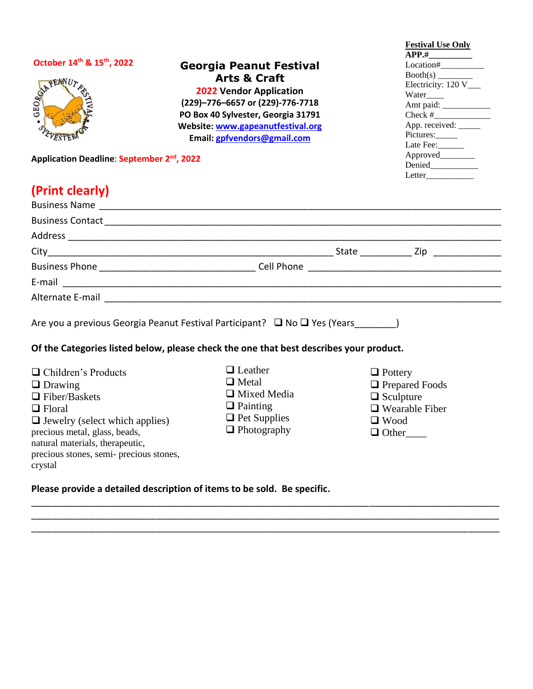| October 14th & 15th, 2022<br>GEORGIA PEANUT                                                                                                                                                                                                              | <b>Georgia Peanut Festival</b><br><b>Arts &amp; Craft</b><br><b>2022 Vendor Application</b><br>(229)-776-6657 or (229)-776-7718<br>PO Box 40 Sylvester, Georgia 31791<br>Website: www.gapeanutfestival.org<br>Email: gpfvendors@gmail.com | <b>Festival Use Only</b><br>$\overline{APP.#$<br>Location#<br>$\frac{\text{Booth}(s)}{\text{Electricity: } 120 \text{ V}}$<br>Water_____<br>Amt paid:<br>App. received: _____<br>Pictures:<br>Late Fee: |
|----------------------------------------------------------------------------------------------------------------------------------------------------------------------------------------------------------------------------------------------------------|-------------------------------------------------------------------------------------------------------------------------------------------------------------------------------------------------------------------------------------------|---------------------------------------------------------------------------------------------------------------------------------------------------------------------------------------------------------|
| Application Deadline: September 2 <sup>nd</sup> , 2022                                                                                                                                                                                                   |                                                                                                                                                                                                                                           | Approved________                                                                                                                                                                                        |
| (Print clearly)                                                                                                                                                                                                                                          |                                                                                                                                                                                                                                           |                                                                                                                                                                                                         |
|                                                                                                                                                                                                                                                          |                                                                                                                                                                                                                                           |                                                                                                                                                                                                         |
|                                                                                                                                                                                                                                                          |                                                                                                                                                                                                                                           |                                                                                                                                                                                                         |
|                                                                                                                                                                                                                                                          |                                                                                                                                                                                                                                           |                                                                                                                                                                                                         |
|                                                                                                                                                                                                                                                          |                                                                                                                                                                                                                                           |                                                                                                                                                                                                         |
|                                                                                                                                                                                                                                                          |                                                                                                                                                                                                                                           |                                                                                                                                                                                                         |
|                                                                                                                                                                                                                                                          |                                                                                                                                                                                                                                           |                                                                                                                                                                                                         |
|                                                                                                                                                                                                                                                          | Alternate E-mail and the state of the state of the state of the state of the state of the state of the state of the state of the state of the state of the state of the state of the state of the state of the state of the st            |                                                                                                                                                                                                         |
|                                                                                                                                                                                                                                                          | Are you a previous Georgia Peanut Festival Participant? $\Box$ No $\Box$ Yes (Years )<br>Of the Categories listed below, please check the one that best describes your product.                                                           |                                                                                                                                                                                                         |
| $\Box$ Children's Products<br>$\Box$ Drawing<br>$\Box$ Fiber/Baskets<br>$\Box$ Floral<br>$\Box$ Jewelry (select which applies)<br>precious metal, glass, beads,<br>natural materials, therapeutic,<br>precious stones, semi- precious stones,<br>crystal | $\Box$ Leather<br>$\Box$ Metal<br>$\Box$ Mixed Media<br>$\Box$ Painting<br>$\Box$ Pet Supplies<br>$\Box$ Photography                                                                                                                      | $\Box$ Pottery<br>□ Prepared Foods<br>$\Box$ Sculpture<br>$\Box$ Wearable Fiber<br>$\Box$ Wood<br>$\Box$ Other                                                                                          |
|                                                                                                                                                                                                                                                          | Dloges nusuide a detailed description of items to be sald. De specific                                                                                                                                                                    |                                                                                                                                                                                                         |

\_\_\_\_\_\_\_\_\_\_\_\_\_\_\_\_\_\_\_\_\_\_\_\_\_\_\_\_\_\_\_\_\_\_\_\_\_\_\_\_\_\_\_\_\_\_\_\_\_\_\_\_\_\_\_\_\_\_\_\_\_\_\_\_\_\_\_\_\_\_\_\_\_\_\_\_\_\_\_\_\_\_\_\_\_\_\_\_\_\_ \_\_\_\_\_\_\_\_\_\_\_\_\_\_\_\_\_\_\_\_\_\_\_\_\_\_\_\_\_\_\_\_\_\_\_\_\_\_\_\_\_\_\_\_\_\_\_\_\_\_\_\_\_\_\_\_\_\_\_\_\_\_\_\_\_\_\_\_\_\_\_\_\_\_\_\_\_\_\_\_\_\_\_\_\_\_\_\_\_\_

**Please provide a detailed description of items to be sold. Be specific.**

\_\_\_\_\_\_\_\_\_\_\_\_\_\_\_\_\_\_\_\_\_\_\_\_\_\_\_\_\_\_\_\_\_\_\_\_\_\_\_\_\_\_\_\_\_\_\_\_\_\_\_\_\_\_\_\_\_\_\_\_\_\_\_\_\_\_\_\_\_\_\_\_\_\_\_\_\_\_\_\_\_\_\_\_\_\_\_\_\_\_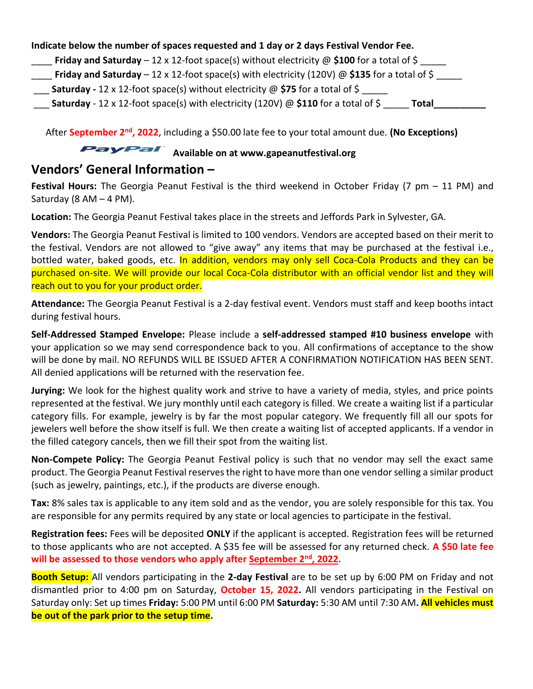#### **Indicate below the number of spaces requested and 1 day or 2 days Festival Vendor Fee.**

- **Friday and Saturday** 12 x 12-foot space(s) without electricity @ \$100 for a total of \$ \_\_\_\_\_
- \_\_\_\_ **Friday and Saturday**  12 x 12-foot space(s) with electricity (120V) @ **\$135** for a total of \$ \_\_\_\_\_
- **Saturday -** 12 x 12-foot space(s) without electricity @ \$75 for a total of \$
- \_\_\_ **Saturday** 12 x 12-foot space(s) with electricity (120V) @ **\$110** for a total of \$ \_\_\_\_\_ **Total\_\_\_\_\_\_\_\_\_\_**

After September 2<sup>nd</sup>, 2022, including a \$50.00 late fee to your total amount due. (No Exceptions)

## **PayPal** Available on at www.gapeanutfestival.org

#### **Vendors' General Information –**

**Festival Hours:** The Georgia Peanut Festival is the third weekend in October Friday (7 pm – 11 PM) and Saturday (8 AM  $-$  4 PM).

**Location:** The Georgia Peanut Festival takes place in the streets and Jeffords Park in Sylvester, GA.

**Vendors:** The Georgia Peanut Festival is limited to 100 vendors. Vendors are accepted based on their merit to the festival. Vendors are not allowed to "give away" any items that may be purchased at the festival i.e., bottled water, baked goods, etc. In addition, vendors may only sell Coca-Cola Products and they can be purchased on-site. We will provide our local Coca-Cola distributor with an official vendor list and they will reach out to you for your product order.

**Attendance:** The Georgia Peanut Festival is a 2-day festival event. Vendors must staff and keep booths intact during festival hours.

**Self-Addressed Stamped Envelope:** Please include a **self-addressed stamped #10 business envelope** with your application so we may send correspondence back to you. All confirmations of acceptance to the show will be done by mail. NO REFUNDS WILL BE ISSUED AFTER A CONFIRMATION NOTIFICATION HAS BEEN SENT. All denied applications will be returned with the reservation fee.

**Jurying:** We look for the highest quality work and strive to have a variety of media, styles, and price points represented at the festival. We jury monthly until each category is filled. We create a waiting list if a particular category fills. For example, jewelry is by far the most popular category. We frequently fill all our spots for jewelers well before the show itself is full. We then create a waiting list of accepted applicants. If a vendor in the filled category cancels, then we fill their spot from the waiting list.

**Non-Compete Policy:** The Georgia Peanut Festival policy is such that no vendor may sell the exact same product. The Georgia Peanut Festival reserves the right to have more than one vendor selling a similar product (such as jewelry, paintings, etc.), if the products are diverse enough.

**Tax:** 8% sales tax is applicable to any item sold and as the vendor, you are solely responsible for this tax. You are responsible for any permits required by any state or local agencies to participate in the festival.

**Registration fees:** Fees will be deposited **ONLY** if the applicant is accepted. Registration fees will be returned to those applicants who are not accepted. A \$35 fee will be assessed for any returned check. **A \$50 late fee**  will be assessed to those vendors who apply after **September 2<sup>nd</sup>, 2022**.

**Booth Setup:** All vendors participating in the **2-day Festival** are to be set up by 6:00 PM on Friday and not dismantled prior to 4:00 pm on Saturday, **October 15, 2022.** All vendors participating in the Festival on Saturday only: Set up times **Friday:** 5:00 PM until 6:00 PM **Saturday:** 5:30 AM until 7:30 AM**. All vehicles must be out of the park prior to the setup time.**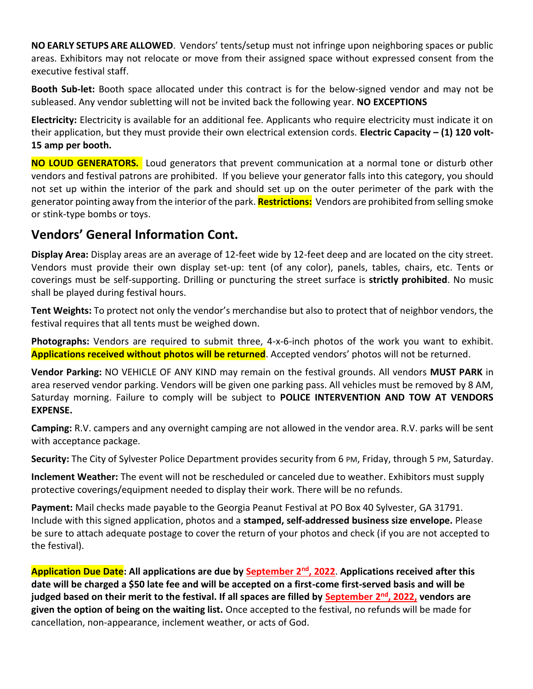**NO EARLY SETUPS ARE ALLOWED**. Vendors' tents/setup must not infringe upon neighboring spaces or public areas. Exhibitors may not relocate or move from their assigned space without expressed consent from the executive festival staff.

**Booth Sub-let:** Booth space allocated under this contract is for the below-signed vendor and may not be subleased. Any vendor subletting will not be invited back the following year. **NO EXCEPTIONS**

**Electricity:** Electricity is available for an additional fee. Applicants who require electricity must indicate it on their application, but they must provide their own electrical extension cords. **Electric Capacity – (1) 120 volt-15 amp per booth.**

**NO LOUD GENERATORS.** Loud generators that prevent communication at a normal tone or disturb other vendors and festival patrons are prohibited. If you believe your generator falls into this category, you should not set up within the interior of the park and should set up on the outer perimeter of the park with the generator pointing away from the interior of the park. **Restrictions:** Vendors are prohibited from selling smoke or stink-type bombs or toys.

### **Vendors' General Information Cont.**

**Display Area:** Display areas are an average of 12-feet wide by 12-feet deep and are located on the city street. Vendors must provide their own display set-up: tent (of any color), panels, tables, chairs, etc. Tents or coverings must be self-supporting. Drilling or puncturing the street surface is **strictly prohibited**. No music shall be played during festival hours.

**Tent Weights:** To protect not only the vendor's merchandise but also to protect that of neighbor vendors, the festival requires that all tents must be weighed down.

**Photographs:** Vendors are required to submit three, 4-x-6-inch photos of the work you want to exhibit. **Applications received without photos will be returned**. Accepted vendors' photos will not be returned.

**Vendor Parking:** NO VEHICLE OF ANY KIND may remain on the festival grounds. All vendors **MUST PARK** in area reserved vendor parking. Vendors will be given one parking pass. All vehicles must be removed by 8 AM, Saturday morning. Failure to comply will be subject to **POLICE INTERVENTION AND TOW AT VENDORS EXPENSE.**

**Camping:** R.V. campers and any overnight camping are not allowed in the vendor area. R.V. parks will be sent with acceptance package.

**Security:** The City of Sylvester Police Department provides security from 6 PM, Friday, through 5 PM, Saturday.

**Inclement Weather:** The event will not be rescheduled or canceled due to weather. Exhibitors must supply protective coverings/equipment needed to display their work. There will be no refunds.

**Payment:** Mail checks made payable to the Georgia Peanut Festival at PO Box 40 Sylvester, GA 31791. Include with this signed application, photos and a **stamped, self-addressed business size envelope.** Please be sure to attach adequate postage to cover the return of your photos and check (if you are not accepted to the festival).

**Application Due Date**: All applications are due by September 2<sup>nd</sup>, 2022</del>. Applications received after this **date will be charged a \$50 late fee and will be accepted on a first-come first-served basis and will be judged based on their merit to the festival. If all spaces are filled by September 2 nd , 2022, vendors are given the option of being on the waiting list.** Once accepted to the festival, no refunds will be made for cancellation, non-appearance, inclement weather, or acts of God.